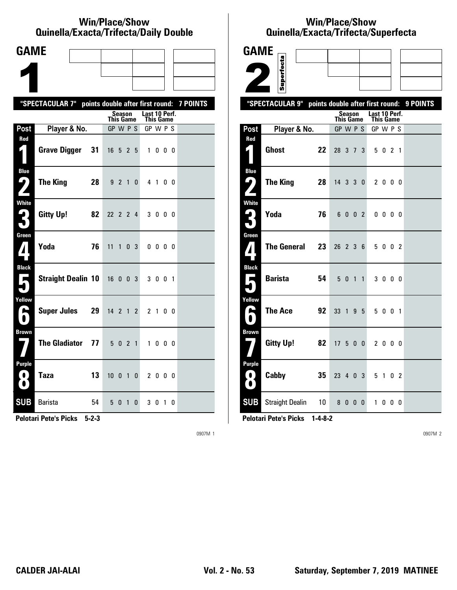#### **Win/Place/Show Qui nel la/Exacta/Tri fecta/Daily Dou ble**

| <b>GAME</b>                                               |                                                           |    |                  |             |              |                                   |                |                |  |
|-----------------------------------------------------------|-----------------------------------------------------------|----|------------------|-------------|--------------|-----------------------------------|----------------|----------------|--|
|                                                           |                                                           |    |                  |             |              |                                   |                |                |  |
|                                                           |                                                           |    |                  |             |              |                                   |                |                |  |
|                                                           | "SPECTACULAR 7" points double after first round: 7 POINTS |    |                  |             |              |                                   |                |                |  |
|                                                           |                                                           |    | <b>This Game</b> | Season      |              | Last 10 Perf.<br><b>This Game</b> |                |                |  |
| Post                                                      | Player & No.                                              |    | GP W P S         |             |              | GP W P S                          |                |                |  |
| Red                                                       | <b>Grave Digger</b>                                       | 31 | 16 5 2 5         |             |              |                                   | 1000           |                |  |
| <b>Blue</b><br>9<br>$\mathbf{Z}$                          | The King                                                  | 28 |                  | 9 2 1       | $\mathbf{0}$ |                                   | 4 1 0 0        |                |  |
| White<br>3                                                | Gitty Up!                                                 | 82 | 22 2 2 4         |             |              |                                   | 3000           |                |  |
| Green<br>$\mathbf{Z}$                                     | Yoda                                                      | 76 | 11               | $1 \t0 \t3$ |              |                                   | $0\,0\,0\,0$   |                |  |
| <b>Black</b><br>$\overline{\phantom{a}}$                  | <b>Straight Dealin 10</b>                                 |    | 16 0 0 3         |             |              |                                   | 3 0 0 1        |                |  |
| Yellow<br>e                                               | <b>Super Jules</b>                                        | 29 | $14 \t2 \t1$     |             | $\mathbf{2}$ |                                   | 2 <sub>1</sub> | 0 <sub>0</sub> |  |
| <b>Brown</b>                                              | The Gladiator 77                                          |    |                  | 5 0 2 1     |              |                                   | 1000           |                |  |
| Purple<br>$\left\lfloor \cdot \right\rfloor$<br>$\bullet$ | <b>Taza</b>                                               | 13 | 10010            |             |              |                                   | 2 0 0 0        |                |  |
| <b>SUB</b>                                                | <b>Barista</b>                                            | 54 |                  | 5 0 1       | 0            |                                   | 3010           |                |  |

**Pelotari Pete's Picks 5-2-3**

0907M 1

### **Win/Place/Show Qui nel la/Exacta/Tri fecta/Super fecta**

| <b>GAME</b>                              |                        |                 |                                  |         |  |                       |              |                |          |
|------------------------------------------|------------------------|-----------------|----------------------------------|---------|--|-----------------------|--------------|----------------|----------|
|                                          | Superfecta             |                 |                                  |         |  |                       |              |                |          |
|                                          |                        |                 |                                  |         |  |                       |              |                |          |
|                                          | "SPECTACULAR 9"        |                 |                                  |         |  |                       |              |                | 9 POINTS |
|                                          |                        |                 | points double after first round: | Season  |  | Last 10 Perf.         |              |                |          |
| Post                                     | Player & No.           |                 | <b>This Game</b><br>GP W P S     |         |  | This Game<br>GP W P S |              |                |          |
| Red                                      |                        |                 |                                  |         |  |                       |              |                |          |
| 4                                        | <b>Ghost</b>           | 22              | 28 3 7 3                         |         |  |                       | 5 0 2 1      |                |          |
| <b>Blue</b><br>ر ما                      | <b>The King</b><br>28  |                 | 14 3 3 0                         |         |  |                       | 2000         |                |          |
|                                          |                        |                 |                                  |         |  |                       |              |                |          |
| <b>White</b><br>$\mathbf{L}_{\parallel}$ |                        |                 |                                  |         |  |                       |              |                |          |
|                                          | Yoda                   | 76              |                                  | 6 0 0 2 |  |                       | $0\,0\,0\,0$ |                |          |
| Green                                    |                        |                 |                                  |         |  |                       |              |                |          |
| ${\bf Z}$                                | <b>The General</b>     | 23              | 26 2 3 6                         |         |  |                       | 5 0 0 2      |                |          |
| <b>Black</b>                             |                        |                 |                                  |         |  |                       |              |                |          |
| Е                                        | <b>Barista</b>         | 54              |                                  | 5 0 1 1 |  |                       | 3000         |                |          |
| Yellow                                   |                        |                 |                                  |         |  |                       |              |                |          |
| A                                        | <b>The Ace</b>         | 92              | 33 1 9 5                         |         |  |                       | 5 0 0 1      |                |          |
| <b>Brown</b>                             |                        |                 |                                  |         |  |                       |              |                |          |
|                                          | <b>Gitty Up!</b>       | 82              | 17500                            |         |  |                       | 2 0 0 0      |                |          |
| <b>Purple</b>                            |                        |                 |                                  |         |  |                       |              |                |          |
| 0.<br>$\bullet$                          | Cabby                  | 35              | 23 4 0 3                         |         |  |                       | 51           | 0 <sub>2</sub> |          |
| <b>SUB</b>                               | <b>Straight Dealin</b> | 10 <sup>1</sup> |                                  | 8000    |  |                       | 1000         |                |          |

**Pelotari Pete's Picks 1-4-8-2**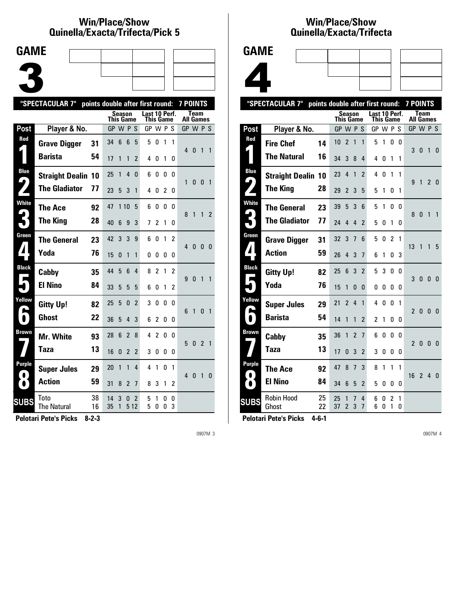### **Win/Place/Show Qui nel la/Exacta/Tri fecta/Pick 5**



| "SPECTACULAR 7"<br>points double after first round:<br><b>7 POINTS</b> |                            |          |           |        |                |                |                            |                |        |        |                  |                |                |                |
|------------------------------------------------------------------------|----------------------------|----------|-----------|--------|----------------|----------------|----------------------------|----------------|--------|--------|------------------|----------------|----------------|----------------|
|                                                                        |                            |          | This Game | Season |                |                | Last 10 Perf.<br>This Game |                |        |        | <b>All Games</b> | Team           |                |                |
| Post                                                                   | Player & No.               |          | GP W P S  |        |                |                | GP W P S                   |                |        |        | GP W P S         |                |                |                |
| Red                                                                    | <b>Grave Digger</b>        | 31       | 34        | 6      | $6\phantom{1}$ | 5              | 5                          | 0              | 1      | 1      | 4                | $\mathbf{0}$   | 1              | $\overline{1}$ |
|                                                                        | <b>Barista</b>             | 54       | 17        | 1      | $\mathbf{1}$   | $\overline{2}$ | 4                          | 0              | 1      | 0      |                  |                |                |                |
| <b>Blue</b><br>9,                                                      | <b>Straight Dealin</b>     | 10       | 25        | 1      | 4              | 0              | 6                          | 0              | 0      | N      | 1                | 0              | $\mathbf{0}$   | $\overline{1}$ |
|                                                                        | <b>The Gladiator</b>       | 77       | 23        | 5      | 3              | 1              | 4                          | 0              | 2      | 0      |                  |                |                |                |
| <b>White</b>                                                           | <b>The Ace</b>             | 92       | 47        | 110    |                | 5              | 6                          | 0              | 0      | 0      | 8                | $\overline{1}$ | 1              | $\mathfrak z$  |
|                                                                        | <b>The King</b>            | 28       | 40        | 6      | 9              | 3              | 7                          | $\overline{c}$ | 1      | 0      |                  |                |                |                |
| Green                                                                  | <b>The General</b>         | 23       | 42        | 3      | 3              | 9              | 6                          | 0              | 1      | 2      | 40               |                | 0              | - 0            |
|                                                                        | Yoda                       | 76       | 15        | 0      | $\mathbf{1}$   | 1              | 0                          | 0              | 0      | 0      |                  |                |                |                |
| <b>Black</b>                                                           | Cabby                      | 35       | 44        | 5      | 6              | 4              | 8                          | 2              | 1      | 2      | 9                | $\overline{0}$ | $\mathbf{1}$   | $\overline{1}$ |
|                                                                        | <b>El Nino</b>             | 84       | 33        | 5      | 5              | 5              | 6                          | 0              | 1      | 2      |                  |                |                |                |
| Yellow                                                                 | <b>Gitty Up!</b>           | 82       | 25        | 5      | $\mathbf{0}$   | $\overline{2}$ | 3                          | 0              | 0      | 0      | 6                | $\mathbf{1}$   | $\mathbf{0}$   | $\overline{1}$ |
| $\blacksquare$                                                         | <b>Ghost</b>               | 22       | 36        | 5      | $\overline{4}$ | 3              | 6                          | $\overline{c}$ | 0      | 0      |                  |                |                |                |
| Brown                                                                  | <b>Mr. White</b>           | 93       | 28        | 6      | $\overline{2}$ | 8              | 4                          | $\overline{c}$ | 0      | 0      | 5                | $\mathbf{0}$   | 2 <sub>1</sub> |                |
|                                                                        | Taza                       | 13       | 16        | 0      | $\overline{2}$ | 2              | 3                          | 0              | 0      | 0      |                  |                |                |                |
| Purple<br>$\bullet$                                                    | <b>Super Jules</b>         | 29       | 20        | 1      | 1              | 4              | 4                          | 1              | 0      | 1      | $4\quad0$        |                | $\mathbf{1}$   | 0              |
| $\bullet$                                                              | <b>Action</b>              | 59       | 31        | 8      | $\overline{2}$ | 7              | 8                          | 3              | 1      | 2      |                  |                |                |                |
| <b>SUBS</b>                                                            | Toto<br><b>The Natural</b> | 38<br>16 | 14<br>35  | 3<br>1 | 0<br>5 1 2     | 2              | 5<br>5                     | 1<br>0         | 0<br>0 | 0<br>3 |                  |                |                |                |
|                                                                        |                            |          |           |        |                |                |                            |                |        |        |                  |                |                |                |

**Pelotari Pete's Picks 8-2-3**

0907M 3

## **Win/Place/Show Qui nel la/Exacta/Tri fecta**





|                   | "SPECTACULAR 7"            | points double after first round: |           |                     |                |                          |               |           |                |              | <b>7 POINTS</b>          |                          |                |              |
|-------------------|----------------------------|----------------------------------|-----------|---------------------|----------------|--------------------------|---------------|-----------|----------------|--------------|--------------------------|--------------------------|----------------|--------------|
|                   |                            |                                  | This Game | <b>Season</b>       |                |                          | Last 10 Perf. | This Game |                |              |                          | Team<br><b>All Games</b> |                |              |
| Post              | Player & No.               |                                  | GP W P S  |                     |                |                          | GP W P S      |           |                |              |                          | GP W P S                 |                |              |
| Red               | <b>Fire Chef</b>           | 14                               | 10        | $\overline{2}$      | 1              | 1                        | 5             | 1         | 0              | 0            |                          |                          |                |              |
|                   | <b>The Natural</b>         | 16                               | 34        | 3                   | 8              | 4                        | 4             | 0         | 1              | 1            | 3                        | 0                        | $\mathbf{1}$   | 0            |
| <b>Blue</b><br>پا | <b>Straight Dealin 10</b>  |                                  | 23        | 4                   | 1              | $\overline{\phantom{a}}$ | 4             | 0         | 1              | 1            | 9                        |                          |                |              |
|                   | <b>The King</b>            | 28                               | 29        | $\overline{2}$      | 3              | 5                        | 5             | 1         | 0              | 1            |                          | 1                        | $\overline{2}$ | - 0          |
| <b>White</b>      | <b>The General</b>         | 23                               | 39        | 5                   | 3              | 6                        | 5             | 1         | 0              | 0            | 8                        | 0                        | 1              | $\mathbf{1}$ |
|                   | <b>The Gladiator</b>       | 77                               | 24        | 4                   | 4              | $\overline{2}$           | 5             | 0         | 1              | 0            |                          |                          |                |              |
| Green             | <b>Grave Digger</b>        | 31                               | 32        | 3                   | 7              | 6                        | 5             | 0         | $\mathfrak{p}$ | 1            | 13                       | 1                        | 1              | -5           |
| $\mathbf{I}$      | <b>Action</b>              | 59                               | 26        | 4                   | 3              | $\overline{1}$           | 6             | 1         | 0              | 3            |                          |                          |                |              |
| <b>Black</b>      | <b>Gitty Up!</b>           | 82                               | 25        | 6                   | 3              | $\overline{\phantom{a}}$ | 5             | 3         | 0              | <sup>0</sup> | 3                        | $\mathbf{0}$             | 0              | 0            |
|                   | Yoda                       | 76                               | 15        | 1                   | 0              | 0                        | 0             | 0         | 0              | 0            |                          |                          |                |              |
| Yellow            | <b>Super Jules</b>         | 29                               | 21        | $\overline{2}$      | $\overline{4}$ | 1                        | 4             | 0         | U              | 1            | $\overline{\phantom{a}}$ | $\mathbf{0}$             | $\mathbf{0}$   | 0            |
|                   | <b>Barista</b>             | 54                               | 14        | 1                   | 1              | $\overline{2}$           | 2             | 1         | 0              | 0            |                          |                          |                |              |
| <b>Brown</b>      | Cabby                      | 35                               | 36        | 1                   | $\overline{2}$ | $\overline{1}$           | 6             | 0         | 0              | 0            | $\mathfrak{p}$           | 0                        | $\Omega$       | 0            |
|                   | Taza                       | 13                               | 17        | 0                   | 3              | $\overline{2}$           | 3             | 0         | 0              | 0            |                          |                          |                |              |
| <b>Purple</b>     | The Ace                    | 92                               | 47        | 8                   | 7              | 3                        | 8             | 1         | 1              | 1            | 16                       |                          |                |              |
| $\bullet$         | <b>El Nino</b>             | 84                               | 34        | 6                   | 5              | $\overline{2}$           | 5             | 0         | 0              | 0            |                          | $\overline{2}$           | 4              | 0            |
| <b>SUBS</b>       | <b>Robin Hood</b><br>Ghost | 25<br>22                         | 25<br>37  | 1<br>$\overline{2}$ | 7<br>3         | 4<br>$\overline{1}$      | 6<br>6        | O<br>0    | 2<br>1         | 1<br>0       |                          |                          |                |              |
|                   |                            |                                  |           |                     |                |                          |               |           |                |              |                          |                          |                |              |

**Pelotari Pete's Picks 4-6-1**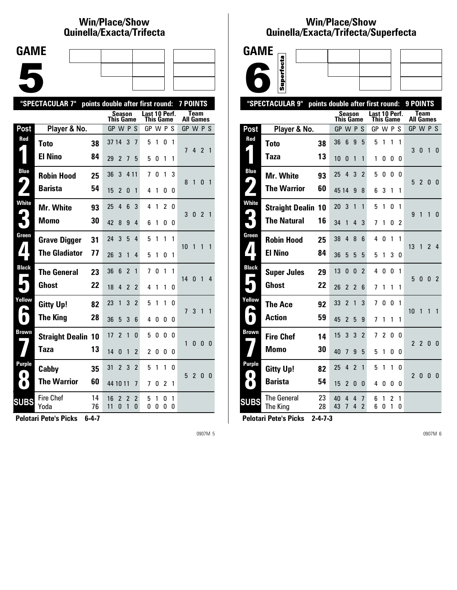# **Win/Place/Show Qui nel la/Exacta/Tri fecta**

| <b>GAME</b> |  |  |
|-------------|--|--|
|             |  |  |
|             |  |  |
|             |  |  |
|             |  |  |
|             |  |  |
|             |  |  |

|              | "SPECTACULAR 7"           | points double after first round: |                  |                |                |                            |                            |        |                |              | <b>7 POINTS</b>  |                |                |                         |
|--------------|---------------------------|----------------------------------|------------------|----------------|----------------|----------------------------|----------------------------|--------|----------------|--------------|------------------|----------------|----------------|-------------------------|
|              |                           |                                  | <b>This Game</b> | <b>Season</b>  |                |                            | Last 10 Perf.<br>This Game |        |                |              | <b>All Games</b> | <b>Team</b>    |                |                         |
| Post         | Player & No.              |                                  |                  | GP W P S       |                |                            | GP W P S                   |        |                |              | GP W P S         |                |                |                         |
| Red          | <b>Toto</b>               | 38                               | 37 14            |                | 3              | 7                          | 5                          | 1      | 0              | $\mathbf{1}$ | 7                |                | 4 2 1          |                         |
|              | <b>El Nino</b>            | 84                               | 29               | 2              | 7              | 5                          | 5                          | 0      | 1              | 1            |                  |                |                |                         |
| <b>Blue</b>  | <b>Robin Hood</b>         | 25                               | 36               | 3              | 4 1 1          |                            | 7                          | 0      | 1              | 3            | 8                |                |                | $\overline{1}$          |
| 9            | <b>Barista</b>            | 54                               | 15               | $\overline{2}$ | 0              | 1                          | 4                          | 1      | 0              | 0            |                  | 1              | 0              |                         |
| <b>White</b> | <b>Mr. White</b>          | 93                               | 25               | 4              | 6              | 3                          | 4                          | 1      | $\overline{c}$ | 0            | 3                | 0              | $\overline{2}$ | $\overline{1}$          |
|              | <b>Momo</b>               | 30                               | 42               | 8              | 9              | 4                          | 6                          | 1      | 0              | 0            |                  |                |                |                         |
| Green        | <b>Grave Digger</b>       | 31                               | 24               | 3              | 5              | 4                          | 5                          | 1      | 1              | 1            | 10               | 1              | 1              | $\overline{1}$          |
| 71           | <b>The Gladiator</b>      | 77                               | 26               | 3              | 1              | 4                          | 5                          | 1      | 0              | 1            |                  |                |                |                         |
| <b>Black</b> | <b>The General</b>        | 23                               | 36               | 6              | $\overline{2}$ | 1                          | 7                          | 0      | 1              | 1            | 14 <sub>0</sub>  |                | 1              | 4                       |
|              | <b>Ghost</b>              | 22                               | 18               | 4              | $\overline{2}$ | $\mathfrak z$              | 4                          | 1      | 1              | 0            |                  |                |                |                         |
| Yellow       | <b>Gitty Up!</b>          | 82                               | 23               | 1              | 3              | $\overline{2}$             | 5                          | 1      | 1              | 0            | $\overline{7}$   | 3              | $\mathbf{1}$   | $\overline{1}$          |
| N            | <b>The King</b>           | 28                               | 36               | 5              | 3              | 6                          | 4                          | 0      | 0              | 0            |                  |                |                |                         |
| Brown        | <b>Straight Dealin 10</b> |                                  | 17               | $\overline{2}$ | $\mathbf{1}$   | $\Omega$                   | 5                          | 0      | 0              | 0            | 1                | $\mathbf{0}$   | 0              | - 0                     |
|              | Taza                      | 13                               | 14               | $\Omega$       | 1              | $\mathfrak z$              | $\overline{c}$             | 0      | 0              | 0            |                  |                |                |                         |
| Purple       | Cabby                     | 35                               | 31               | $\overline{2}$ | 3              | $\overline{2}$             | 5                          | 1      | 1              | 0            | 5                | $\overline{2}$ | 0              | $\overline{\mathbf{0}}$ |
| $\bullet$    | <b>The Warrior</b>        | 60                               | 44 10 11         |                |                | 7                          | 7                          | 0      | 2              | 1            |                  |                |                |                         |
| <b>SUBS</b>  | <b>Fire Chef</b><br>Yoda  | 14<br>76                         | 16<br>11         | 2<br>0         | 2<br>1         | $\overline{2}$<br>$\Omega$ | 5<br>0                     | 1<br>0 | 0<br>0         | 1<br>0       |                  |                |                |                         |
|              |                           |                                  |                  |                |                |                            |                            |        |                |              |                  |                |                |                         |

**Pelotari Pete's Picks 6-4-7**

0907M 5

### **Win/Place/Show Qui nel la/Exacta/Tri fecta/Super fecta**



|                                 | "SPECTACULAR 9"                | points double after first round: |                  |                     |                |                     |               |                  |          |                | 9 POINTS       |                          |                |                |
|---------------------------------|--------------------------------|----------------------------------|------------------|---------------------|----------------|---------------------|---------------|------------------|----------|----------------|----------------|--------------------------|----------------|----------------|
|                                 |                                |                                  | <b>This Game</b> | <b>Season</b>       |                |                     | Last 10 Perf. | <b>This Game</b> |          |                |                | Team<br><b>All Games</b> |                |                |
| Post                            | Player & No.                   |                                  | GP W P S         |                     |                |                     | GP W P S      |                  |          |                | GP W P S       |                          |                |                |
| Red                             | <b>Toto</b>                    | 38                               | 36               | $6\phantom{1}$      | 9              | 5                   | 5             | 1                | 1        | 1              | 3              | $\mathbf{0}$             | $\overline{1}$ | $\Omega$       |
|                                 | Taza                           | 13                               | 10               | 0                   | 1              | 1                   | 1             | 0                | 0        | 0              |                |                          |                |                |
| Blue<br>$\blacklozenge$         | Mr. White                      | 93                               | 25               | 4                   | 3              | $\overline{2}$      | 5             | 0                | 0        | 0              | 5              | 2 <sub>0</sub>           |                |                |
|                                 | <b>The Warrior</b>             | 60                               | 45 14            |                     | 9              | 8                   | 6             | 3                | 1        | 1              |                |                          |                | 0              |
| <b>White</b>                    | <b>Straight Dealin 10</b>      |                                  | 20               | 3                   | $\mathbf{1}$   | $\mathbf{1}$        | 5             | 1                | $\Omega$ | 1              | 9              | 1                        | 1              | $\Omega$       |
| $\boldsymbol{\hat{\mathsf{r}}}$ | <b>The Natural</b>             | 16                               | 34               | $\mathbf{1}$        | 4              | 3                   | 7             | 1                | 0        | $\overline{2}$ |                |                          |                |                |
| Green                           | <b>Robin Hood</b>              | 25                               | 38               | $\overline{4}$      | 8              | 6                   | 4             | 0                | 1        | 1              | 13             | 1                        | $\overline{2}$ | $\overline{4}$ |
| 7                               | <b>El Nino</b>                 | 84                               | 36               | 5                   | 5              | 5                   | 5             | 1                | 3        | 0              |                |                          |                |                |
| <b>Black</b>                    | <b>Super Jules</b>             | 29                               | 13               | 0                   | $\mathbf{0}$   | $\overline{2}$      | 4             | 0                | 0        | 1              | 5              | 0 <sub>0</sub>           |                | $\overline{2}$ |
|                                 | <b>Ghost</b>                   | 22                               | 26               | $\overline{2}$      | $\overline{2}$ | 6                   | 7             | 1                | 1        | 1              |                |                          |                |                |
| Yellow                          | <b>The Ace</b>                 | 92                               | 33               | $\overline{c}$      | $\overline{1}$ | 3                   | 7             | 0                | 0        | 1              | 10             | 1                        | $\mathbf{1}$   | $\mathbf{1}$   |
|                                 | <b>Action</b>                  | 59                               | 45               | $\overline{2}$      | 5              | 9                   | 7             | 1                | 1        | 1              |                |                          |                |                |
| <b>Brown</b>                    | <b>Fire Chef</b>               | 14                               | 15               | 3                   | 3              | $\overline{2}$      | 7             | 2                | 0        | 0              | $\overline{2}$ | $\overline{2}$           | $\mathbf{0}$   | $\mathbf{0}$   |
|                                 | <b>Momo</b>                    | 30                               | 40               | 7                   | 9              | 5                   | 5             | 1                | 0        | 0              |                |                          |                |                |
| <b>Purple</b><br>$\bullet$      | <b>Gitty Up!</b>               | 82                               | 25               | 4                   | $\overline{2}$ | 1                   | 5             | 1                | 1        | 0              | $\mathbf{2}$   | 0                        | 0              | - 0            |
| $\bullet$                       | <b>Barista</b>                 | 54                               | 15               | $\overline{2}$      | 0              | 0                   | 4             | 0                | 0        | 0              |                |                          |                |                |
| <b>SUBS</b>                     | <b>The General</b><br>The King | 23<br>28                         | 40<br>43         | 4<br>$\overline{7}$ | 4<br>4         | 7<br>$\overline{2}$ | 6<br>6        | 1<br>0           | 2<br>1   | 1<br>0         |                |                          |                |                |
|                                 |                                |                                  |                  |                     |                |                     |               |                  |          |                |                |                          |                |                |

**Pelotari Pete's Picks 2-4-7-3**